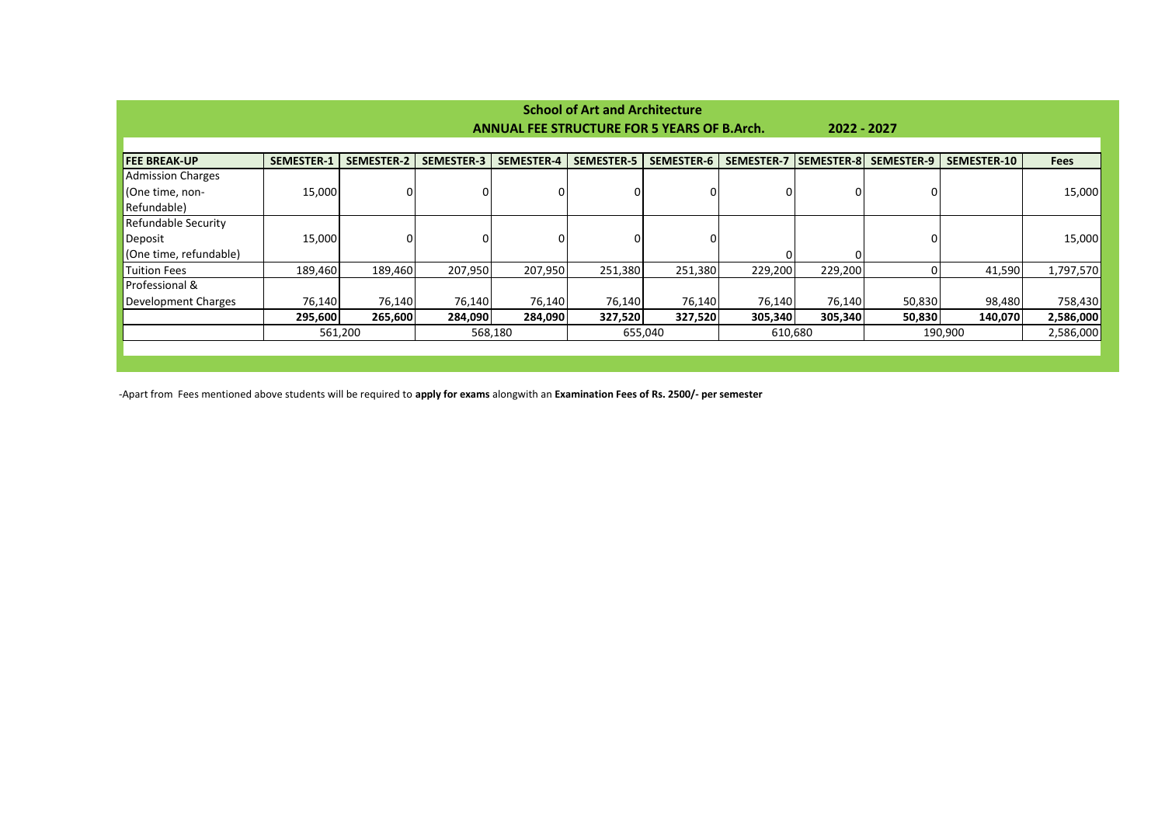| <b>School of Art and Architecture</b>                             |                   |                   |                   |                   |                   |                   |            |                   |                   |                    |             |
|-------------------------------------------------------------------|-------------------|-------------------|-------------------|-------------------|-------------------|-------------------|------------|-------------------|-------------------|--------------------|-------------|
| <b>ANNUAL FEE STRUCTURE FOR 5 YEARS OF B.Arch.</b><br>2022 - 2027 |                   |                   |                   |                   |                   |                   |            |                   |                   |                    |             |
|                                                                   |                   |                   |                   |                   |                   |                   |            |                   |                   |                    |             |
| <b>FEE BREAK-UP</b>                                               | <b>SEMESTER-1</b> | <b>SEMESTER-2</b> | <b>SEMESTER-3</b> | <b>SEMESTER-4</b> | <b>SEMESTER-5</b> | <b>SEMESTER-6</b> | SEMESTER-7 | <b>SEMESTER-8</b> | <b>SEMESTER-9</b> | <b>SEMESTER-10</b> | <b>Fees</b> |
| <b>Admission Charges</b>                                          |                   |                   |                   |                   |                   |                   |            |                   |                   |                    |             |
| (One time, non-                                                   | 15,000            |                   | 0                 |                   |                   |                   | 0          |                   | 01                |                    | 15,000      |
| Refundable)                                                       |                   |                   |                   |                   |                   |                   |            |                   |                   |                    |             |
| <b>Refundable Security</b>                                        |                   |                   |                   |                   |                   |                   |            |                   |                   |                    |             |
| Deposit                                                           | 15,000            | 0                 | 0                 |                   |                   |                   |            |                   | 01                |                    | 15,000      |
| (One time, refundable)                                            |                   |                   |                   |                   |                   |                   | O          |                   |                   |                    |             |
| Tuition Fees                                                      | 189,460           | 189,460           | 207,950           | 207,950           | 251,380           | 251,380           | 229,200    | 229,200           | 01                | 41,590             | 1,797,570   |
| Professional &                                                    |                   |                   |                   |                   |                   |                   |            |                   |                   |                    |             |
| Development Charges                                               | 76,140            | 76,140            | 76,140            | 76,140            | 76,140            | 76,140            | 76,140     | 76,140            | 50,830            | 98,480             | 758,430     |
|                                                                   | 295,600           | 265,600           | 284,090           | 284,090           | 327,520           | 327,520           | 305,340    | 305,340           | 50,830            | 140,070            | 2,586,000   |
|                                                                   |                   | 561,200           |                   | 568,180           |                   | 655,040           | 610,680    |                   |                   | 190,900            | 2,586,000   |
|                                                                   |                   |                   |                   |                   |                   |                   |            |                   |                   |                    |             |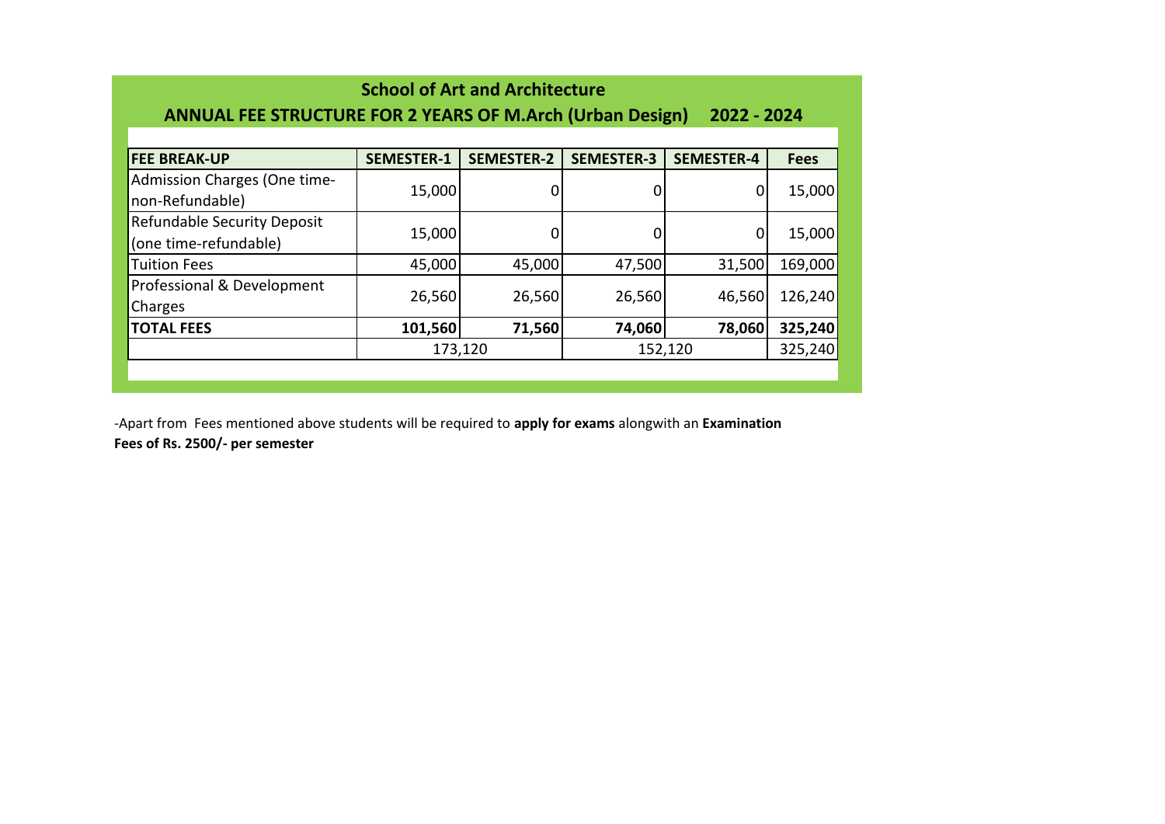| <b>School of Art and Architecture</b><br><b>ANNUAL FEE STRUCTURE FOR 2 YEARS OF M.Arch (Urban Design)</b><br>2022 - 2024 |                   |                   |                   |                   |             |  |  |  |  |  |
|--------------------------------------------------------------------------------------------------------------------------|-------------------|-------------------|-------------------|-------------------|-------------|--|--|--|--|--|
|                                                                                                                          |                   |                   |                   |                   |             |  |  |  |  |  |
| <b>FEE BREAK-UP</b>                                                                                                      | <b>SEMESTER-1</b> | <b>SEMESTER-2</b> | <b>SEMESTER-3</b> | <b>SEMESTER-4</b> | <b>Fees</b> |  |  |  |  |  |
| Admission Charges (One time-                                                                                             |                   | 0                 |                   |                   |             |  |  |  |  |  |
| non-Refundable)                                                                                                          | 15,000            |                   | 0                 | 0                 | 15,000      |  |  |  |  |  |
| <b>Refundable Security Deposit</b>                                                                                       |                   |                   |                   |                   |             |  |  |  |  |  |
| (one time-refundable)                                                                                                    | 15,000            | 0                 | 0                 | 0                 | 15,000      |  |  |  |  |  |
| <b>Tuition Fees</b>                                                                                                      | 45,000            | 45,000            | 47,500            | 31,500            | 169,000     |  |  |  |  |  |
| Professional & Development                                                                                               |                   |                   |                   |                   |             |  |  |  |  |  |
| Charges                                                                                                                  | 26,560            | 26,560            | 26,560            | 46,560            | 126,240     |  |  |  |  |  |
| <b>TOTAL FEES</b>                                                                                                        | 101,560           | 71,560            | 74,060            | 78,060            | 325,240     |  |  |  |  |  |
|                                                                                                                          |                   | 173,120           |                   | 152,120           | 325,240     |  |  |  |  |  |
|                                                                                                                          |                   |                   |                   |                   |             |  |  |  |  |  |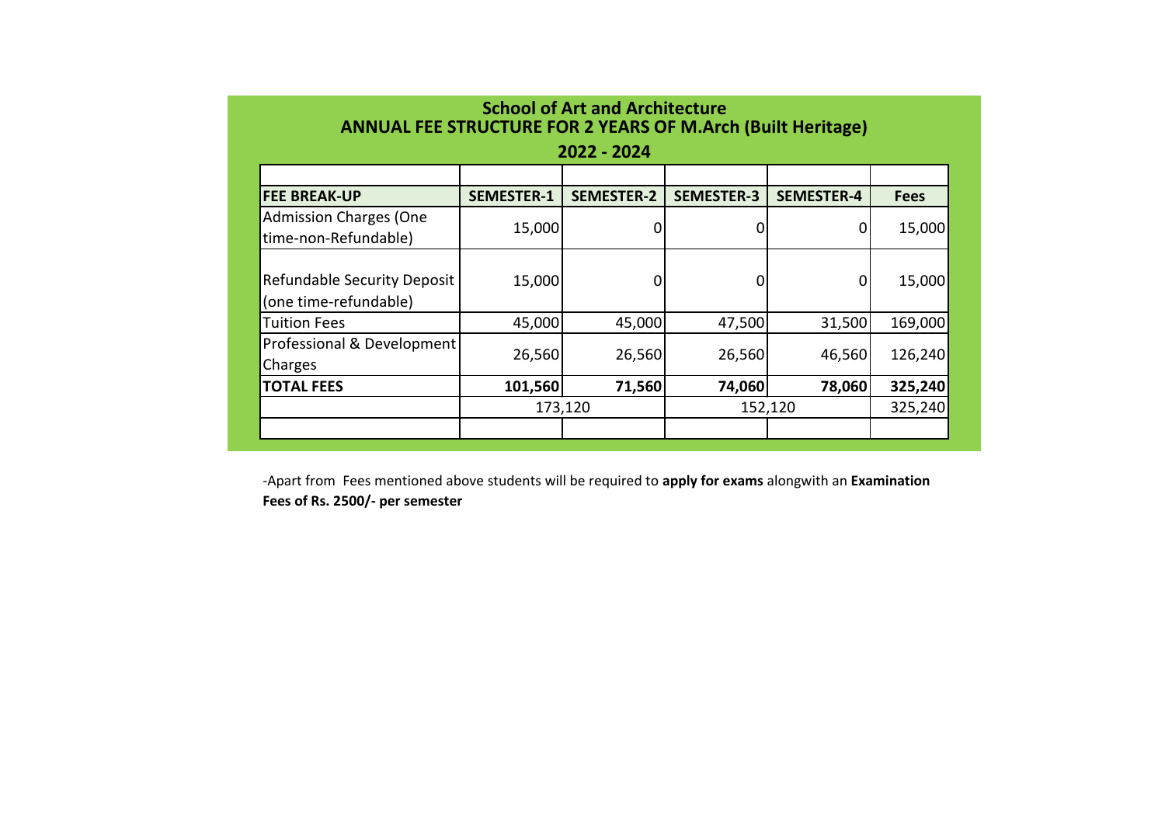| <b>School of Art and Architecture</b><br><b>ANNUAL FEE STRUCTURE FOR 2 YEARS OF M.Arch (Built Heritage)</b> |                   |                   |                   |                   |             |  |  |  |  |  |  |
|-------------------------------------------------------------------------------------------------------------|-------------------|-------------------|-------------------|-------------------|-------------|--|--|--|--|--|--|
| 2022 - 2024                                                                                                 |                   |                   |                   |                   |             |  |  |  |  |  |  |
|                                                                                                             |                   |                   |                   |                   |             |  |  |  |  |  |  |
| <b>FEE BREAK-UP</b>                                                                                         | <b>SEMESTER-1</b> | <b>SEMESTER-2</b> | <b>SEMESTER-3</b> | <b>SEMESTER-4</b> | <b>Fees</b> |  |  |  |  |  |  |
| <b>Admission Charges (One</b><br>time-non-Refundable)                                                       | 15,000            | 0                 |                   | 0                 | 15,000      |  |  |  |  |  |  |
| Refundable Security Deposit<br>(one time-refundable)                                                        | 15,000            | 0                 | n                 | 0                 | 15,000      |  |  |  |  |  |  |
| <b>Tuition Fees</b>                                                                                         | 45,000            | 45,000            | 47,500            | 31,500            | 169,000     |  |  |  |  |  |  |
| Professional & Development<br>Charges                                                                       | 26,560            | 26,560            | 26,560            | 46,560            | 126,240     |  |  |  |  |  |  |
| <b>TOTAL FEES</b>                                                                                           | 101,560           | 71,560            | 74,060            | 78,060            | 325,240     |  |  |  |  |  |  |
|                                                                                                             |                   | 173,120           | 152,120           | 325,240           |             |  |  |  |  |  |  |
|                                                                                                             |                   |                   |                   |                   |             |  |  |  |  |  |  |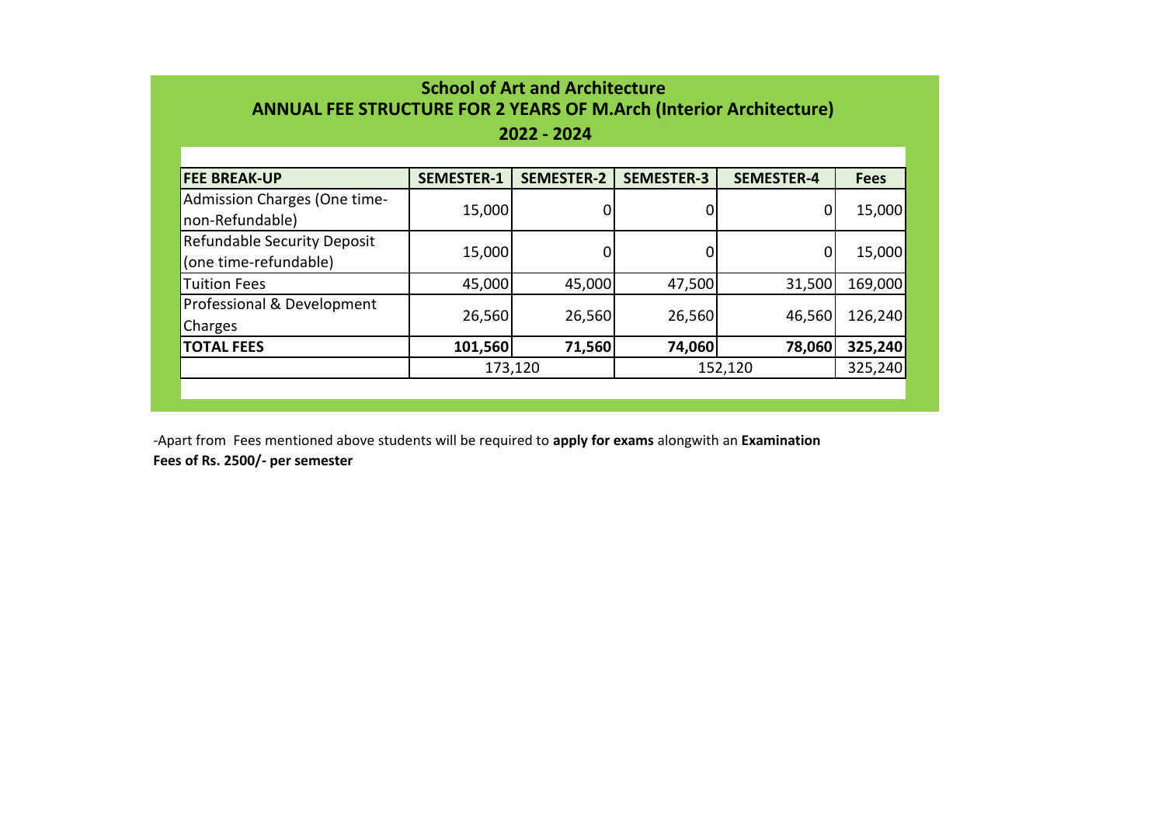| <b>School of Art and Architecture</b>                              |
|--------------------------------------------------------------------|
| ANNUAL FEE STRUCTURE FOR 2 YEARS OF M.Arch (Interior Architecture) |

## **2022 - 2024**

| <b>FEE BREAK-UP</b>                                         | <b>SEMESTER-1</b> | <b>SEMESTER-2</b> | <b>SEMESTER-3</b> | <b>SEMESTER-4</b> | <b>Fees</b> |
|-------------------------------------------------------------|-------------------|-------------------|-------------------|-------------------|-------------|
| Admission Charges (One time-<br>non-Refundable)             | 15,000            |                   | 0                 | $\mathbf{0}$      | 15,000      |
| <b>Refundable Security Deposit</b><br>(one time-refundable) | 15,000            |                   | 0                 | 0                 | 15,000      |
| <b>Tuition Fees</b>                                         | 45,000            | 45,000            | 47,500            | 31,500            | 169,000     |
| Professional & Development<br>Charges                       | 26,560            | 26,560            | 26,560            | 46,560            | 126,240     |
| <b>TOTAL FEES</b>                                           | 101,560           | 71,560            | 74,060            | 78,060            | 325,240     |
|                                                             |                   | 173,120           | 152,120           | 325,240           |             |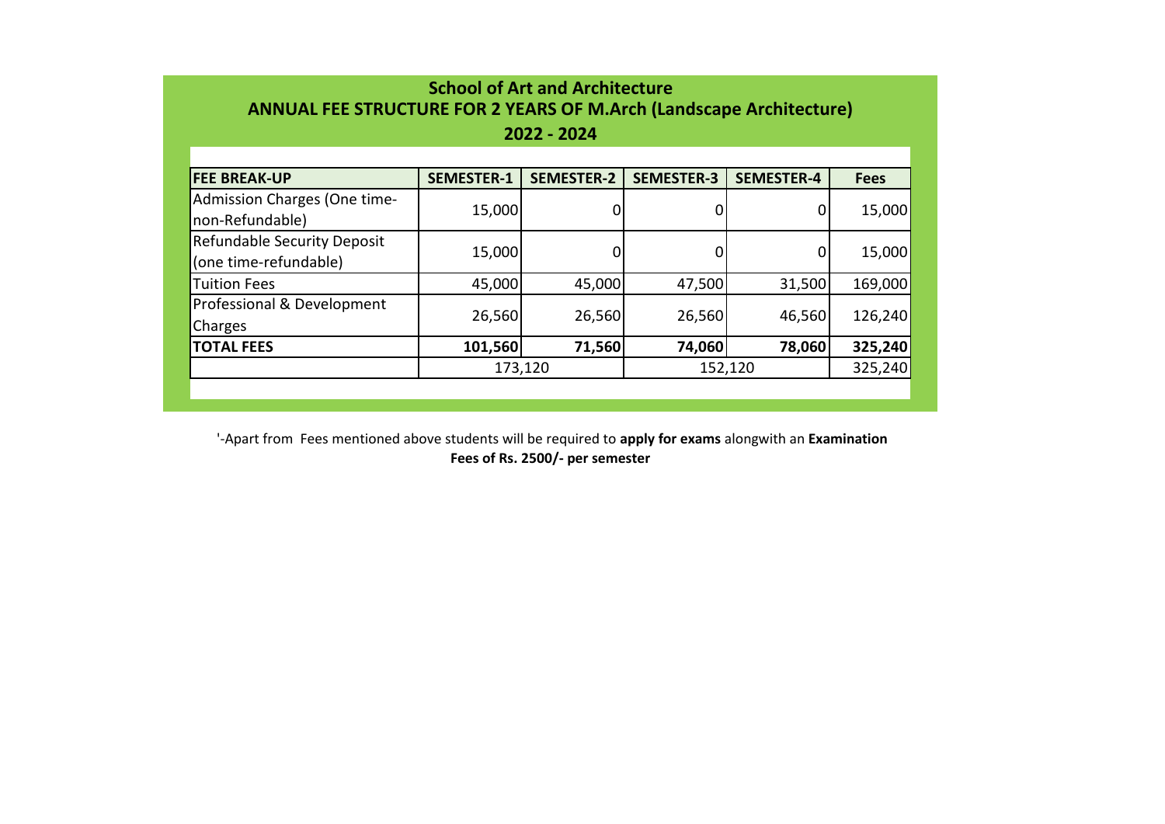| <b>School of Art and Architecture</b><br><b>ANNUAL FEE STRUCTURE FOR 2 YEARS OF M.Arch (Landscape Architecture)</b><br>2022 - 2024 |         |        |        |        |         |  |  |  |  |  |  |
|------------------------------------------------------------------------------------------------------------------------------------|---------|--------|--------|--------|---------|--|--|--|--|--|--|
| <b>SEMESTER-2</b><br><b>SEMESTER-3</b><br><b>SEMESTER-1</b><br><b>SEMESTER-4</b><br><b>FEE BREAK-UP</b><br><b>Fees</b>             |         |        |        |        |         |  |  |  |  |  |  |
| Admission Charges (One time-<br>non-Refundable)                                                                                    | 15,000  |        | 0      | 0      | 15,000  |  |  |  |  |  |  |
| <b>Refundable Security Deposit</b><br>(one time-refundable)                                                                        | 15,000  |        | 0      | 0      | 15,000  |  |  |  |  |  |  |
| <b>Tuition Fees</b>                                                                                                                | 45,000  | 45,000 | 47,500 | 31,500 | 169,000 |  |  |  |  |  |  |
| Professional & Development<br>Charges                                                                                              | 26,560  | 26,560 | 26,560 | 46,560 | 126,240 |  |  |  |  |  |  |
| <b>TOTAL FEES</b>                                                                                                                  | 101,560 | 71,560 | 74,060 | 78,060 | 325,240 |  |  |  |  |  |  |
| 325,240<br>173,120<br>152,120                                                                                                      |         |        |        |        |         |  |  |  |  |  |  |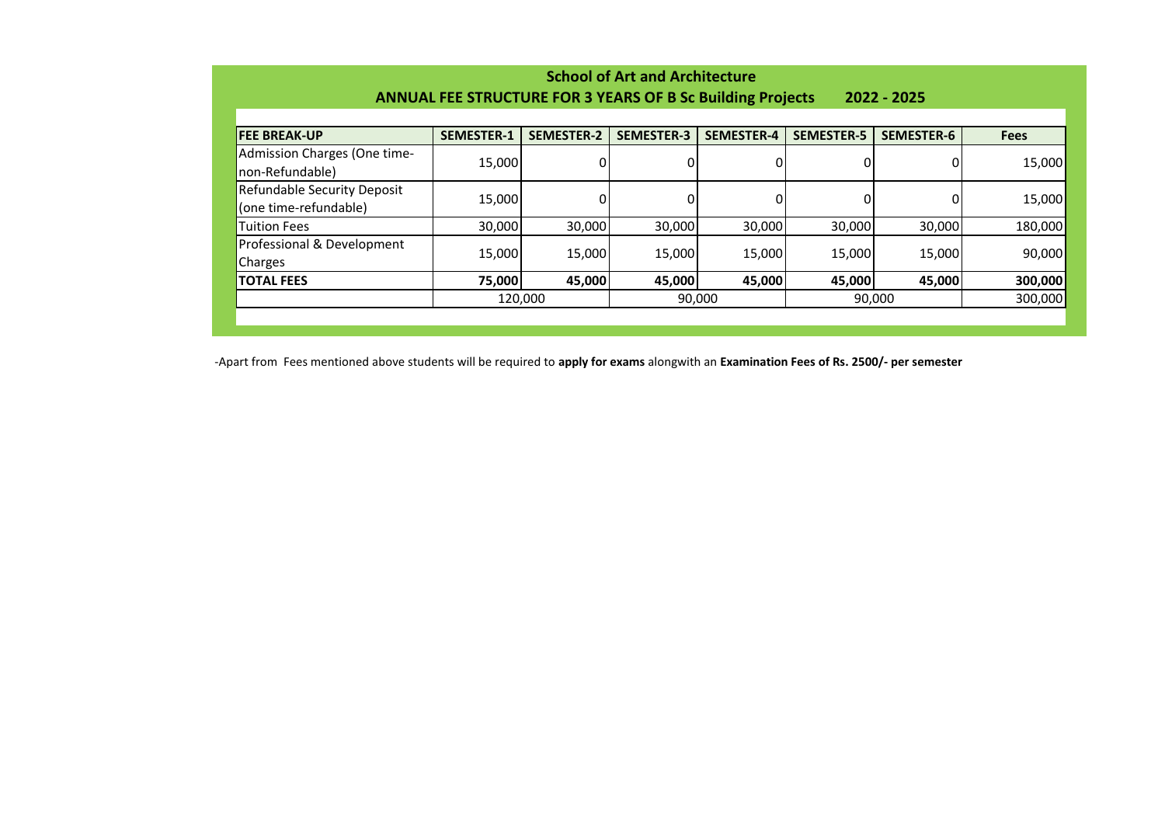| Scribbi of Art and Architecture                                                  |                   |                   |                   |                   |                   |                   |             |  |  |  |
|----------------------------------------------------------------------------------|-------------------|-------------------|-------------------|-------------------|-------------------|-------------------|-------------|--|--|--|
| <b>ANNUAL FEE STRUCTURE FOR 3 YEARS OF B Sc Building Projects</b><br>2022 - 2025 |                   |                   |                   |                   |                   |                   |             |  |  |  |
|                                                                                  |                   |                   |                   |                   |                   |                   |             |  |  |  |
| <b>FEE BREAK-UP</b>                                                              | <b>SEMESTER-1</b> | <b>SEMESTER-2</b> | <b>SEMESTER-3</b> | <b>SEMESTER-4</b> | <b>SEMESTER-5</b> | <b>SEMESTER-6</b> | <b>Fees</b> |  |  |  |
| Admission Charges (One time-<br>non-Refundable)                                  | 15,000            |                   |                   |                   |                   |                   | 15,000      |  |  |  |
| Refundable Security Deposit<br>(one time-refundable)                             | 15,000            |                   |                   |                   |                   |                   | 15,000      |  |  |  |
| <b>Tuition Fees</b>                                                              | 30,000            | 30,000            | 30,000            | 30,000            | 30,000            | 30,000            | 180,000     |  |  |  |
| Professional & Development<br>Charges                                            | 15,000            | 15,000            | 15,000            | 15,000            | 15,000            | 15,000            | 90,000      |  |  |  |
| <b>TOTAL FEES</b>                                                                | 75,000            | 45,000            | 45,000            | 45,000            | 45,000            | 45,000            | 300,000     |  |  |  |
|                                                                                  | 120,000           |                   | 90,000            |                   | 90,000            |                   | 300,000     |  |  |  |
|                                                                                  |                   |                   |                   |                   |                   |                   |             |  |  |  |
|                                                                                  |                   |                   |                   |                   |                   |                   |             |  |  |  |

**School of Art and Architecture**